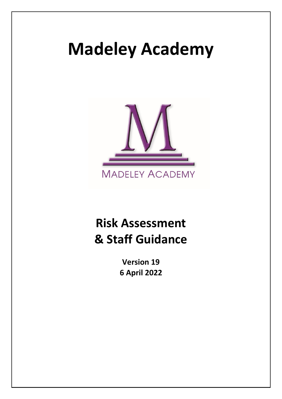# **Madeley Academy**



## **Risk Assessment & Staff Guidance**

**Version 19 6 April 2022**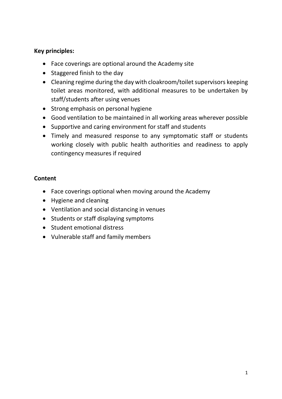#### **Key principles:**

- Face coverings are optional around the Academy site
- Staggered finish to the day
- Cleaning regime during the day with cloakroom/toilet supervisors keeping toilet areas monitored, with additional measures to be undertaken by staff/students after using venues
- Strong emphasis on personal hygiene
- Good ventilation to be maintained in all working areas wherever possible
- Supportive and caring environment for staff and students
- Timely and measured response to any symptomatic staff or students working closely with public health authorities and readiness to apply contingency measures if required

#### **Content**

- Face coverings optional when moving around the Academy
- Hygiene and cleaning
- Ventilation and social distancing in venues
- Students or staff displaying symptoms
- Student emotional distress
- Vulnerable staff and family members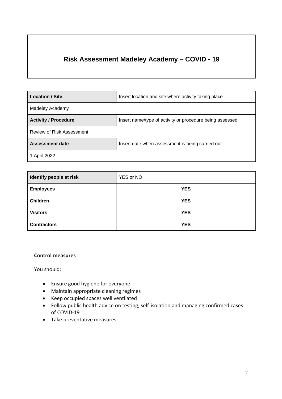### **Risk Assessment Madeley Academy – COVID - 19**

| <b>Location / Site</b>      | Insert location and site where activity taking place     |  |  |  |  |
|-----------------------------|----------------------------------------------------------|--|--|--|--|
| Madeley Academy             |                                                          |  |  |  |  |
| <b>Activity / Procedure</b> | Insert name/type of activity or procedure being assessed |  |  |  |  |
| Review of Risk Assessment   |                                                          |  |  |  |  |
| Assessment date             | Insert date when assessment is being carried out         |  |  |  |  |
| 1 April 2022                |                                                          |  |  |  |  |

| Identify people at risk | YES or NO  |
|-------------------------|------------|
| <b>Employees</b>        | <b>YES</b> |
| <b>Children</b>         | <b>YES</b> |
| <b>Visitors</b>         | <b>YES</b> |
| <b>Contractors</b>      | <b>YES</b> |

#### **Control measures**

You should:

- Ensure good hygiene for everyone
- Maintain appropriate cleaning regimes
- Keep occupied spaces well ventilated
- Follow public health advice on testing, self-isolation and managing confirmed cases of COVID-19
- Take preventative measures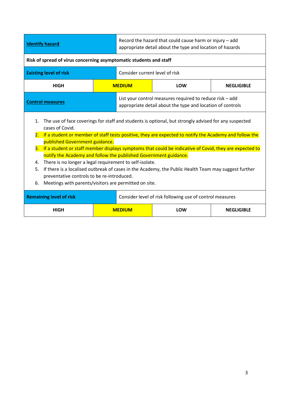| <b>Identify hazard</b>                                                                                                                                                                                                                                                                                                                                                                                                                                                                                                                                                                                                                                                                                                                                                   |  | Record the hazard that could cause harm or injury - add<br>appropriate detail about the type and location of hazards |                                                                                                                        |                   |  |  |
|--------------------------------------------------------------------------------------------------------------------------------------------------------------------------------------------------------------------------------------------------------------------------------------------------------------------------------------------------------------------------------------------------------------------------------------------------------------------------------------------------------------------------------------------------------------------------------------------------------------------------------------------------------------------------------------------------------------------------------------------------------------------------|--|----------------------------------------------------------------------------------------------------------------------|------------------------------------------------------------------------------------------------------------------------|-------------------|--|--|
| Risk of spread of virus concerning asymptomatic students and staff                                                                                                                                                                                                                                                                                                                                                                                                                                                                                                                                                                                                                                                                                                       |  |                                                                                                                      |                                                                                                                        |                   |  |  |
| <b>Existing level of risk</b>                                                                                                                                                                                                                                                                                                                                                                                                                                                                                                                                                                                                                                                                                                                                            |  | Consider current level of risk                                                                                       |                                                                                                                        |                   |  |  |
| <b>HIGH</b>                                                                                                                                                                                                                                                                                                                                                                                                                                                                                                                                                                                                                                                                                                                                                              |  | <b>MEDIUM</b>                                                                                                        | LOW                                                                                                                    | <b>NEGLIGIBLE</b> |  |  |
| <b>Control measures</b>                                                                                                                                                                                                                                                                                                                                                                                                                                                                                                                                                                                                                                                                                                                                                  |  |                                                                                                                      | List your control measures required to reduce risk - add<br>appropriate detail about the type and location of controls |                   |  |  |
| The use of face coverings for staff and students is optional, but strongly advised for any suspected<br>$\mathbf{1}$ .<br>cases of Covid.<br>2. If a student or member of staff tests positive, they are expected to notify the Academy and follow the<br>published Government guidance.<br>If a student or staff member displays symptoms that could be indicative of Covid, they are expected to<br>3.<br>notify the Academy and follow the published Government guidance.<br>There is no longer a legal requirement to self-isolate.<br>4.<br>If there is a localised outbreak of cases in the Academy, the Public Health Team may suggest further<br>5.<br>preventative controls to be re-introduced.<br>Meetings with parents/visitors are permitted on site.<br>6. |  |                                                                                                                      |                                                                                                                        |                   |  |  |
| <b>Remaining level of risk</b>                                                                                                                                                                                                                                                                                                                                                                                                                                                                                                                                                                                                                                                                                                                                           |  | Consider level of risk following use of control measures                                                             |                                                                                                                        |                   |  |  |
| <b>HIGH</b>                                                                                                                                                                                                                                                                                                                                                                                                                                                                                                                                                                                                                                                                                                                                                              |  | <b>NEGLIGIBLE</b><br><b>MEDIUM</b><br>LOW                                                                            |                                                                                                                        |                   |  |  |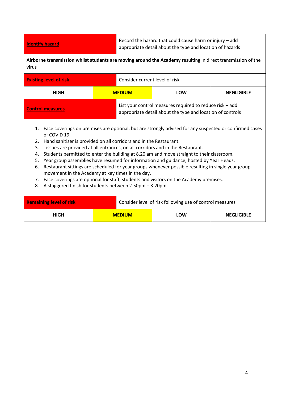**Identify hazard Record the hazard that could cause harm or injury – add Identify hazard** appropriate detail about the type and location of hazards

**Airborne transmission whilst students are moving around the Academy** resulting in direct transmission of the virus

| <b>Existing level of risk</b><br>Consider current level of risk                                           |               |  |                                                                                                                        |                   |
|-----------------------------------------------------------------------------------------------------------|---------------|--|------------------------------------------------------------------------------------------------------------------------|-------------------|
| <b>HIGH</b>                                                                                               | <b>MEDIUM</b> |  | LOW                                                                                                                    | <b>NEGLIGIBLE</b> |
| <b>Control measures</b>                                                                                   |               |  | List your control measures required to reduce risk – add<br>appropriate detail about the type and location of controls |                   |
| 1. Eace coverings on premises are optional, but are strongly advised for any suspected or confirmed cases |               |  |                                                                                                                        |                   |

- $_{\rm{errors}}$  on premises are optional, but are strongly advised for any suspected or confirm of COVID 19.
- 2. Hand sanitiser is provided on all corridors and in the Restaurant.
- 3. Tissues are provided at all entrances, on all corridors and in the Restaurant.
- 4. Students permitted to enter the building at 8.20 am and move straight to their classroom.
- 5. Year group assemblies have resumed for information and guidance, hosted by Year Heads.
- 6. Restaurant sittings are scheduled for year groups whenever possible resulting in single year group movement in the Academy at key times in the day.
- 7. Face coverings are optional for staff, students and visitors on the Academy premises.
- 8. A staggered finish for students between 2.50pm 3.20pm.

| <b>Remaining level of risk</b> |               | Consider level of risk following use of control measures |     |                   |
|--------------------------------|---------------|----------------------------------------------------------|-----|-------------------|
| <b>HIGH</b>                    | <b>MEDIUM</b> |                                                          | LOW | <b>NEGLIGIBLE</b> |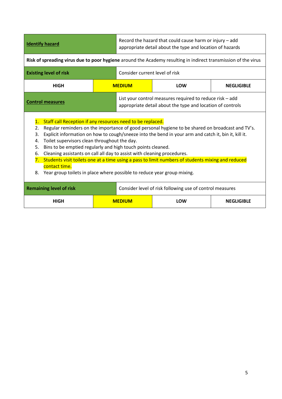|                                                                                                                                                                                                                                                                                                                                                                                                                                                                                                                                                                                                                                                                                                                               | <b>Identify hazard</b>        |  | Record the hazard that could cause harm or injury - add<br>appropriate detail about the type and location of hazards   |                                                                                                                |                   |  |
|-------------------------------------------------------------------------------------------------------------------------------------------------------------------------------------------------------------------------------------------------------------------------------------------------------------------------------------------------------------------------------------------------------------------------------------------------------------------------------------------------------------------------------------------------------------------------------------------------------------------------------------------------------------------------------------------------------------------------------|-------------------------------|--|------------------------------------------------------------------------------------------------------------------------|----------------------------------------------------------------------------------------------------------------|-------------------|--|
|                                                                                                                                                                                                                                                                                                                                                                                                                                                                                                                                                                                                                                                                                                                               |                               |  |                                                                                                                        | Risk of spreading virus due to poor hygiene around the Academy resulting in indirect transmission of the virus |                   |  |
|                                                                                                                                                                                                                                                                                                                                                                                                                                                                                                                                                                                                                                                                                                                               | <b>Existing level of risk</b> |  | Consider current level of risk                                                                                         |                                                                                                                |                   |  |
|                                                                                                                                                                                                                                                                                                                                                                                                                                                                                                                                                                                                                                                                                                                               | <b>HIGH</b>                   |  | <b>MEDIUM</b>                                                                                                          | LOW                                                                                                            | <b>NEGLIGIBLE</b> |  |
|                                                                                                                                                                                                                                                                                                                                                                                                                                                                                                                                                                                                                                                                                                                               | <b>Control measures</b>       |  | List your control measures required to reduce risk - add<br>appropriate detail about the type and location of controls |                                                                                                                |                   |  |
| Staff call Reception if any resources need to be replaced.<br>$\mathbf{1}$ .<br>Regular reminders on the importance of good personal hygiene to be shared on broadcast and TV's.<br>2.<br>Explicit information on how to cough/sneeze into the bend in your arm and catch it, bin it, kill it.<br>3.<br>Toilet supervisors clean throughout the day.<br>4.<br>Bins to be emptied regularly and high touch points cleaned.<br>5.<br>Cleaning assistants on call all day to assist with cleaning procedures.<br>6.<br>Students visit toilets one at a time using a pass to limit numbers of students mixing and reduced<br>7.<br>contact time.<br>Year group toilets in place where possible to reduce year group mixing.<br>8. |                               |  |                                                                                                                        |                                                                                                                |                   |  |
| <b>Remaining level of risk</b><br>Consider level of risk following use of control measures                                                                                                                                                                                                                                                                                                                                                                                                                                                                                                                                                                                                                                    |                               |  |                                                                                                                        |                                                                                                                |                   |  |
|                                                                                                                                                                                                                                                                                                                                                                                                                                                                                                                                                                                                                                                                                                                               | <b>HIGH</b>                   |  | <b>MEDIUM</b><br><b>NEGLIGIBLE</b><br>LOW                                                                              |                                                                                                                |                   |  |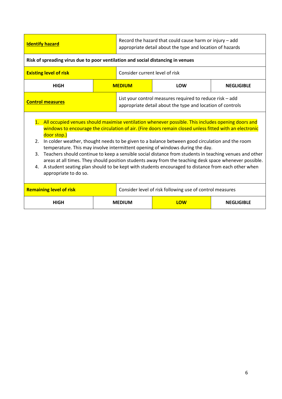| <b>Identify hazard</b>                                                                                                                                                                                                                                                                                                                                                                                                                                                                                                                                                                                                                                                                                                                                                                                  |  | Record the hazard that could cause harm or injury - add<br>appropriate detail about the type and location of hazards   |     |                   |  |  |
|---------------------------------------------------------------------------------------------------------------------------------------------------------------------------------------------------------------------------------------------------------------------------------------------------------------------------------------------------------------------------------------------------------------------------------------------------------------------------------------------------------------------------------------------------------------------------------------------------------------------------------------------------------------------------------------------------------------------------------------------------------------------------------------------------------|--|------------------------------------------------------------------------------------------------------------------------|-----|-------------------|--|--|
| Risk of spreading virus due to poor ventilation and social distancing in venues                                                                                                                                                                                                                                                                                                                                                                                                                                                                                                                                                                                                                                                                                                                         |  |                                                                                                                        |     |                   |  |  |
| <b>Existing level of risk</b>                                                                                                                                                                                                                                                                                                                                                                                                                                                                                                                                                                                                                                                                                                                                                                           |  | Consider current level of risk                                                                                         |     |                   |  |  |
| <b>HIGH</b>                                                                                                                                                                                                                                                                                                                                                                                                                                                                                                                                                                                                                                                                                                                                                                                             |  | <b>MEDIUM</b>                                                                                                          | LOW | <b>NEGLIGIBLE</b> |  |  |
| <b>Control measures</b>                                                                                                                                                                                                                                                                                                                                                                                                                                                                                                                                                                                                                                                                                                                                                                                 |  | List your control measures required to reduce risk - add<br>appropriate detail about the type and location of controls |     |                   |  |  |
| All occupied venues should maximise ventilation whenever possible. This includes opening doors and<br>$\mathbf{1}$ .<br>windows to encourage the circulation of air. (Fire doors remain closed unless fitted with an electronic<br>door stop.)<br>In colder weather, thought needs to be given to a balance between good circulation and the room<br>2.<br>temperature. This may involve intermittent opening of windows during the day.<br>Teachers should continue to keep a sensible social distance from students in teaching venues and other<br>3.<br>areas at all times. They should position students away from the teaching desk space whenever possible.<br>A student seating plan should to be kept with students encouraged to distance from each other when<br>4.<br>appropriate to do so. |  |                                                                                                                        |     |                   |  |  |
| <b>Remaining level of risk</b>                                                                                                                                                                                                                                                                                                                                                                                                                                                                                                                                                                                                                                                                                                                                                                          |  | Consider level of risk following use of control measures                                                               |     |                   |  |  |
| <b>HIGH</b>                                                                                                                                                                                                                                                                                                                                                                                                                                                                                                                                                                                                                                                                                                                                                                                             |  | LOW<br><b>MEDIUM</b><br><b>NEGLIGIBLE</b>                                                                              |     |                   |  |  |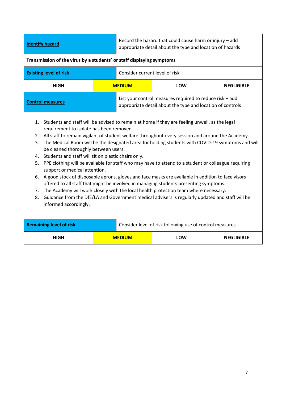| <b>Identify hazard</b>                                                                                                                                                                                                                                                                                                                                                                                                                                                                                                                                                                                                                                                                                                                                                                                                                                                                                                                                                                                                                                      |  | Record the hazard that could cause harm or injury - add<br>appropriate detail about the type and location of hazards |                                                                                                                        |                   |  |  |
|-------------------------------------------------------------------------------------------------------------------------------------------------------------------------------------------------------------------------------------------------------------------------------------------------------------------------------------------------------------------------------------------------------------------------------------------------------------------------------------------------------------------------------------------------------------------------------------------------------------------------------------------------------------------------------------------------------------------------------------------------------------------------------------------------------------------------------------------------------------------------------------------------------------------------------------------------------------------------------------------------------------------------------------------------------------|--|----------------------------------------------------------------------------------------------------------------------|------------------------------------------------------------------------------------------------------------------------|-------------------|--|--|
| Transmission of the virus by a students' or staff displaying symptoms                                                                                                                                                                                                                                                                                                                                                                                                                                                                                                                                                                                                                                                                                                                                                                                                                                                                                                                                                                                       |  |                                                                                                                      |                                                                                                                        |                   |  |  |
| <b>Existing level of risk</b>                                                                                                                                                                                                                                                                                                                                                                                                                                                                                                                                                                                                                                                                                                                                                                                                                                                                                                                                                                                                                               |  | Consider current level of risk                                                                                       |                                                                                                                        |                   |  |  |
| <b>HIGH</b>                                                                                                                                                                                                                                                                                                                                                                                                                                                                                                                                                                                                                                                                                                                                                                                                                                                                                                                                                                                                                                                 |  | <b>MEDIUM</b>                                                                                                        | LOW                                                                                                                    | <b>NEGLIGIBLE</b> |  |  |
| <b>Control measures</b>                                                                                                                                                                                                                                                                                                                                                                                                                                                                                                                                                                                                                                                                                                                                                                                                                                                                                                                                                                                                                                     |  |                                                                                                                      | List your control measures required to reduce risk - add<br>appropriate detail about the type and location of controls |                   |  |  |
| Students and staff will be advised to remain at home if they are feeling unwell, as the legal<br>1.<br>requirement to isolate has been removed.<br>All staff to remain vigilant of student welfare throughout every session and around the Academy.<br>2.<br>The Medical Room will be the designated area for holding students with COVID-19 symptoms and will<br>3.<br>be cleaned thoroughly between users.<br>Students and staff will sit on plastic chairs only.<br>4.<br>PPE clothing will be available for staff who may have to attend to a student or colleague requiring<br>5.<br>support or medical attention.<br>A good stock of disposable aprons, gloves and face masks are available in addition to face visors<br>6.<br>offered to all staff that might be involved in managing students presenting symptoms.<br>The Academy will work closely with the local health protection team where necessary.<br>7.<br>8.<br>Guidance from the DfE/LA and Government medical advisers is regularly updated and staff will be<br>informed accordingly. |  |                                                                                                                      |                                                                                                                        |                   |  |  |
| <b>Remaining level of risk</b>                                                                                                                                                                                                                                                                                                                                                                                                                                                                                                                                                                                                                                                                                                                                                                                                                                                                                                                                                                                                                              |  | Consider level of risk following use of control measures                                                             |                                                                                                                        |                   |  |  |
| <b>HIGH</b>                                                                                                                                                                                                                                                                                                                                                                                                                                                                                                                                                                                                                                                                                                                                                                                                                                                                                                                                                                                                                                                 |  | <b>MEDIUM</b>                                                                                                        | LOW                                                                                                                    | <b>NEGLIGIBLE</b> |  |  |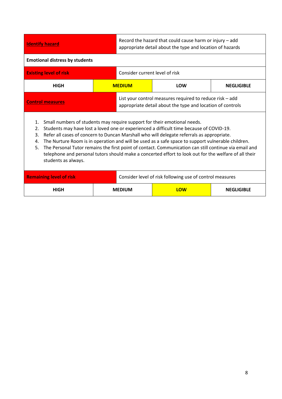| <b>Identify hazard</b>                                                                                                                                                                                                                                                                                                                                                                                                                                                                                                                                                                                                                       |                                                          | Record the hazard that could cause harm or injury - add<br>appropriate detail about the type and location of hazards   |                   |  |  |  |
|----------------------------------------------------------------------------------------------------------------------------------------------------------------------------------------------------------------------------------------------------------------------------------------------------------------------------------------------------------------------------------------------------------------------------------------------------------------------------------------------------------------------------------------------------------------------------------------------------------------------------------------------|----------------------------------------------------------|------------------------------------------------------------------------------------------------------------------------|-------------------|--|--|--|
| <b>Emotional distress by students</b>                                                                                                                                                                                                                                                                                                                                                                                                                                                                                                                                                                                                        |                                                          |                                                                                                                        |                   |  |  |  |
| <b>Existing level of risk</b>                                                                                                                                                                                                                                                                                                                                                                                                                                                                                                                                                                                                                | Consider current level of risk                           |                                                                                                                        |                   |  |  |  |
| <b>HIGH</b>                                                                                                                                                                                                                                                                                                                                                                                                                                                                                                                                                                                                                                  | <b>MEDIUM</b>                                            | LOW                                                                                                                    | <b>NEGLIGIBLE</b> |  |  |  |
| <b>Control measures</b>                                                                                                                                                                                                                                                                                                                                                                                                                                                                                                                                                                                                                      |                                                          | List your control measures required to reduce risk - add<br>appropriate detail about the type and location of controls |                   |  |  |  |
| Small numbers of students may require support for their emotional needs.<br>1.<br>Students may have lost a loved one or experienced a difficult time because of COVID-19.<br>2.<br>Refer all cases of concern to Duncan Marshall who will delegate referrals as appropriate.<br>3.<br>The Nurture Room is in operation and will be used as a safe space to support vulnerable children.<br>4.<br>The Personal Tutor remains the first point of contact. Communication can still continue via email and<br>5.<br>telephone and personal tutors should make a concerted effort to look out for the welfare of all their<br>students as always. |                                                          |                                                                                                                        |                   |  |  |  |
| <b>Remaining level of risk</b>                                                                                                                                                                                                                                                                                                                                                                                                                                                                                                                                                                                                               | Consider level of risk following use of control measures |                                                                                                                        |                   |  |  |  |
| <b>HIGH</b>                                                                                                                                                                                                                                                                                                                                                                                                                                                                                                                                                                                                                                  | <b>MEDIUM</b>                                            | LOW                                                                                                                    | <b>NEGLIGIBLE</b> |  |  |  |
|                                                                                                                                                                                                                                                                                                                                                                                                                                                                                                                                                                                                                                              |                                                          |                                                                                                                        |                   |  |  |  |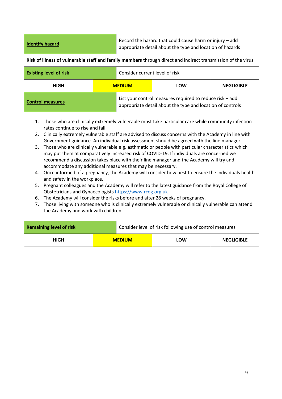| <b>Identify hazard</b>                                                                                                                                                                                                                                                                                                                                                                                                                                                                                                                                                                                                                                                                                                                                                                                                                                                                                                                                                                                                                                                                                                                                                                                                                                                       | Record the hazard that could cause harm or injury - add<br>appropriate detail about the type and location of hazards |                                           |                                                                                                                        |                   |  |  |  |
|------------------------------------------------------------------------------------------------------------------------------------------------------------------------------------------------------------------------------------------------------------------------------------------------------------------------------------------------------------------------------------------------------------------------------------------------------------------------------------------------------------------------------------------------------------------------------------------------------------------------------------------------------------------------------------------------------------------------------------------------------------------------------------------------------------------------------------------------------------------------------------------------------------------------------------------------------------------------------------------------------------------------------------------------------------------------------------------------------------------------------------------------------------------------------------------------------------------------------------------------------------------------------|----------------------------------------------------------------------------------------------------------------------|-------------------------------------------|------------------------------------------------------------------------------------------------------------------------|-------------------|--|--|--|
|                                                                                                                                                                                                                                                                                                                                                                                                                                                                                                                                                                                                                                                                                                                                                                                                                                                                                                                                                                                                                                                                                                                                                                                                                                                                              | Risk of illness of vulnerable staff and family members through direct and indirect transmission of the virus         |                                           |                                                                                                                        |                   |  |  |  |
| <b>Existing level of risk</b>                                                                                                                                                                                                                                                                                                                                                                                                                                                                                                                                                                                                                                                                                                                                                                                                                                                                                                                                                                                                                                                                                                                                                                                                                                                |                                                                                                                      | Consider current level of risk            |                                                                                                                        |                   |  |  |  |
| <b>HIGH</b>                                                                                                                                                                                                                                                                                                                                                                                                                                                                                                                                                                                                                                                                                                                                                                                                                                                                                                                                                                                                                                                                                                                                                                                                                                                                  |                                                                                                                      | <b>MEDIUM</b>                             | <b>LOW</b>                                                                                                             | <b>NEGLIGIBLE</b> |  |  |  |
| <b>Control measures</b>                                                                                                                                                                                                                                                                                                                                                                                                                                                                                                                                                                                                                                                                                                                                                                                                                                                                                                                                                                                                                                                                                                                                                                                                                                                      |                                                                                                                      |                                           | List your control measures required to reduce risk - add<br>appropriate detail about the type and location of controls |                   |  |  |  |
| Those who are clinically extremely vulnerable must take particular care while community infection<br>1.<br>rates continue to rise and fall.<br>2. Clinically extremely vulnerable staff are advised to discuss concerns with the Academy in line with<br>Government guidance. An individual risk assessment should be agreed with the line manager.<br>Those who are clinically vulnerable e.g. asthmatic or people with particular characteristics which<br>3.<br>may put them at comparatively increased risk of COVID-19. If individuals are concerned we<br>recommend a discussion takes place with their line manager and the Academy will try and<br>accommodate any additional measures that may be necessary.<br>4. Once informed of a pregnancy, the Academy will consider how best to ensure the individuals health<br>and safety in the workplace.<br>Pregnant colleagues and the Academy will refer to the latest guidance from the Royal College of<br>5.<br>Obstetricians and Gynaecologists https://www.rcog.org.uk<br>The Academy will consider the risks before and after 28 weeks of pregnancy.<br>6.<br>Those living with someone who is clinically extremely vulnerable or clinically vulnerable can attend<br>7.<br>the Academy and work with children. |                                                                                                                      |                                           |                                                                                                                        |                   |  |  |  |
| <b>Remaining level of risk</b>                                                                                                                                                                                                                                                                                                                                                                                                                                                                                                                                                                                                                                                                                                                                                                                                                                                                                                                                                                                                                                                                                                                                                                                                                                               |                                                                                                                      |                                           | Consider level of risk following use of control measures                                                               |                   |  |  |  |
| <b>HIGH</b>                                                                                                                                                                                                                                                                                                                                                                                                                                                                                                                                                                                                                                                                                                                                                                                                                                                                                                                                                                                                                                                                                                                                                                                                                                                                  |                                                                                                                      | <b>NEGLIGIBLE</b><br><b>MEDIUM</b><br>LOW |                                                                                                                        |                   |  |  |  |